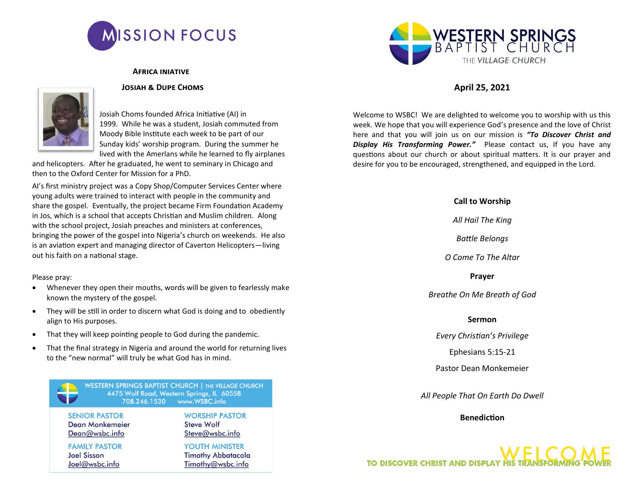

#### **Africa iniative**

#### **Josiah & Dupe Choms**



Josiah Choms founded Africa Initiative (AI) in 1999. While he was a student, Josiah commuted from Moody Bible Institute each week to be part of our Sunday kids' worship program. During the summer he lived with the Amerlans while he learned to fly airplanes

and helicopters. After he graduated, he went to seminary in Chicago and then to the Oxford Center for Mission for a PhD.

AI's first ministry project was a Copy Shop/Computer Services Center where young adults were trained to interact with people in the community and share the gospel. Eventually, the project became Firm Foundation Academy in Jos, which is a school that accepts Christian and Muslim children. Along with the school project, Josiah preaches and ministers at conferences, bringing the power of the gospel into Nigeria's church on weekends. He also is an aviation expert and managing director of Caverton Helicopters—living out his faith on a national stage.

Please pray:

- Whenever they open their mouths, words will be given to fearlessly make known the mystery of the gospel.
- They will be still in order to discern what God is doing and to obediently align to His purposes.
- That they will keep pointing people to God during the pandemic.
- That the final strategy in Nigeria and around the world for returning lives to the "new normal" will truly be what God has in mind.

WESTERN SPRINGS BAPTIST CHURCH | THE VILLAGE CHURCH 4475 Wolf Road, Western Springs, IL 60558 708.246.1530 www.WSBC.info

**SENIOR PASTOR Dean Monkemeier** Dean@wsbc.info

**FAMILY PASTOR Joel Sisson** Joel@wsbc.info

**WORSHIP PASTOR** 

**YOUTH MINISTER** 

**Timothy Abbatacola** 

Timothy@wsbc.info

**Steve Wolf** Steve@wsbc.info



# **April 25, 2021**

Welcome to WSBC! We are delighted to welcome you to worship with us this week. We hope that you will experience God's presence and the love of Christ here and that you will join us on our mission is *"To Discover Christ and Display His Transforming Power."* Please contact us, If you have any questions about our church or about spiritual matters. It is our prayer and desire for you to be encouraged, strengthened, and equipped in the Lord.

#### **Call to Worship**

*All Hail The King*

*Battle Belongs*

*O Come To The Altar*

**Prayer**

*Breathe On Me Breath of God*

#### **Sermon**

*Every Christian's Privilege*

Ephesians 5:15-21

Pastor Dean Monkemeier

*All People That On Earth Do Dwell*

### **Benediction**

**TO DISCOVER CHRIST AND DISPLAY HIS TRANSFC**